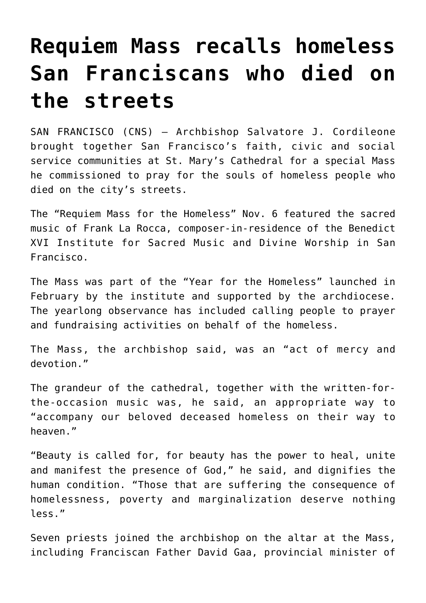## **[Requiem Mass recalls homeless](https://www.osvnews.com/2021/11/10/requiem-mass-recalls-homeless-san-franciscans-who-died-on-the-streets/) [San Franciscans who died on](https://www.osvnews.com/2021/11/10/requiem-mass-recalls-homeless-san-franciscans-who-died-on-the-streets/) [the streets](https://www.osvnews.com/2021/11/10/requiem-mass-recalls-homeless-san-franciscans-who-died-on-the-streets/)**

SAN FRANCISCO (CNS) — Archbishop Salvatore J. Cordileone brought together San Francisco's faith, civic and social service communities at St. Mary's Cathedral for a special Mass he commissioned to pray for the souls of homeless people who died on the city's streets.

The "Requiem Mass for the Homeless" Nov. 6 featured the sacred music of Frank La Rocca, composer-in-residence of the Benedict XVI Institute for Sacred Music and Divine Worship in San Francisco.

The Mass was part of the "Year for the Homeless" launched in February by the institute and supported by the archdiocese. The yearlong observance has included calling people to prayer and fundraising activities on behalf of the homeless.

The Mass, the archbishop said, was an "act of mercy and devotion."

The grandeur of the cathedral, together with the written-forthe-occasion music was, he said, an appropriate way to "accompany our beloved deceased homeless on their way to heaven."

"Beauty is called for, for beauty has the power to heal, unite and manifest the presence of God," he said, and dignifies the human condition. "Those that are suffering the consequence of homelessness, poverty and marginalization deserve nothing less."

Seven priests joined the archbishop on the altar at the Mass, including Franciscan Father David Gaa, provincial minister of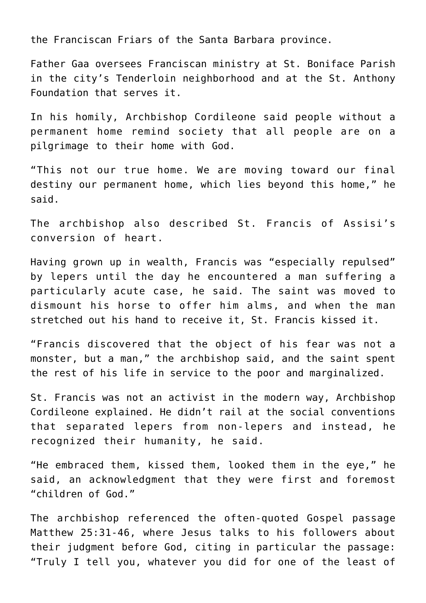the Franciscan Friars of the Santa Barbara province.

Father Gaa oversees Franciscan ministry at St. Boniface Parish in the city's Tenderloin neighborhood and at the St. Anthony Foundation that serves it.

In his homily, Archbishop Cordileone said people without a permanent home remind society that all people are on a pilgrimage to their home with God.

"This not our true home. We are moving toward our final destiny our permanent home, which lies beyond this home," he said.

The archbishop also described St. Francis of Assisi's conversion of heart.

Having grown up in wealth, Francis was "especially repulsed" by lepers until the day he encountered a man suffering a particularly acute case, he said. The saint was moved to dismount his horse to offer him alms, and when the man stretched out his hand to receive it, St. Francis kissed it.

"Francis discovered that the object of his fear was not a monster, but a man," the archbishop said, and the saint spent the rest of his life in service to the poor and marginalized.

St. Francis was not an activist in the modern way, Archbishop Cordileone explained. He didn't rail at the social conventions that separated lepers from non-lepers and instead, he recognized their humanity, he said.

"He embraced them, kissed them, looked them in the eye," he said, an acknowledgment that they were first and foremost "children of God."

The archbishop referenced the often-quoted Gospel passage Matthew 25:31-46, where Jesus talks to his followers about their judgment before God, citing in particular the passage: "Truly I tell you, whatever you did for one of the least of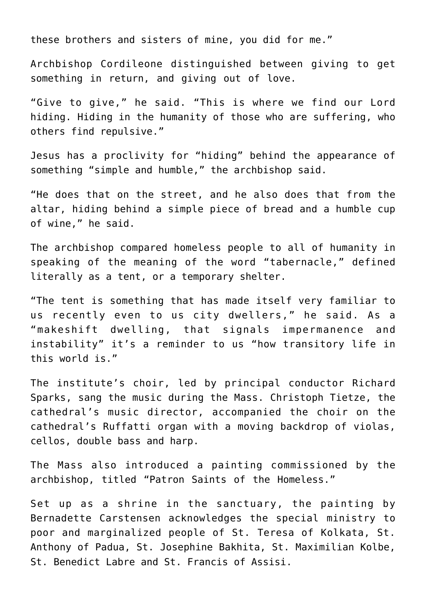these brothers and sisters of mine, you did for me."

Archbishop Cordileone distinguished between giving to get something in return, and giving out of love.

"Give to give," he said. "This is where we find our Lord hiding. Hiding in the humanity of those who are suffering, who others find repulsive."

Jesus has a proclivity for "hiding" behind the appearance of something "simple and humble," the archbishop said.

"He does that on the street, and he also does that from the altar, hiding behind a simple piece of bread and a humble cup of wine," he said.

The archbishop compared homeless people to all of humanity in speaking of the meaning of the word "tabernacle," defined literally as a tent, or a temporary shelter.

"The tent is something that has made itself very familiar to us recently even to us city dwellers," he said. As a "makeshift dwelling, that signals impermanence and instability" it's a reminder to us "how transitory life in this world is."

The institute's choir, led by principal conductor Richard Sparks, sang the music during the Mass. Christoph Tietze, the cathedral's music director, accompanied the choir on the cathedral's Ruffatti organ with a moving backdrop of violas, cellos, double bass and harp.

The Mass also introduced a painting commissioned by the archbishop, titled "Patron Saints of the Homeless."

Set up as a shrine in the sanctuary, the painting by Bernadette Carstensen acknowledges the special ministry to poor and marginalized people of St. Teresa of Kolkata, St. Anthony of Padua, St. Josephine Bakhita, St. Maximilian Kolbe, St. Benedict Labre and St. Francis of Assisi.